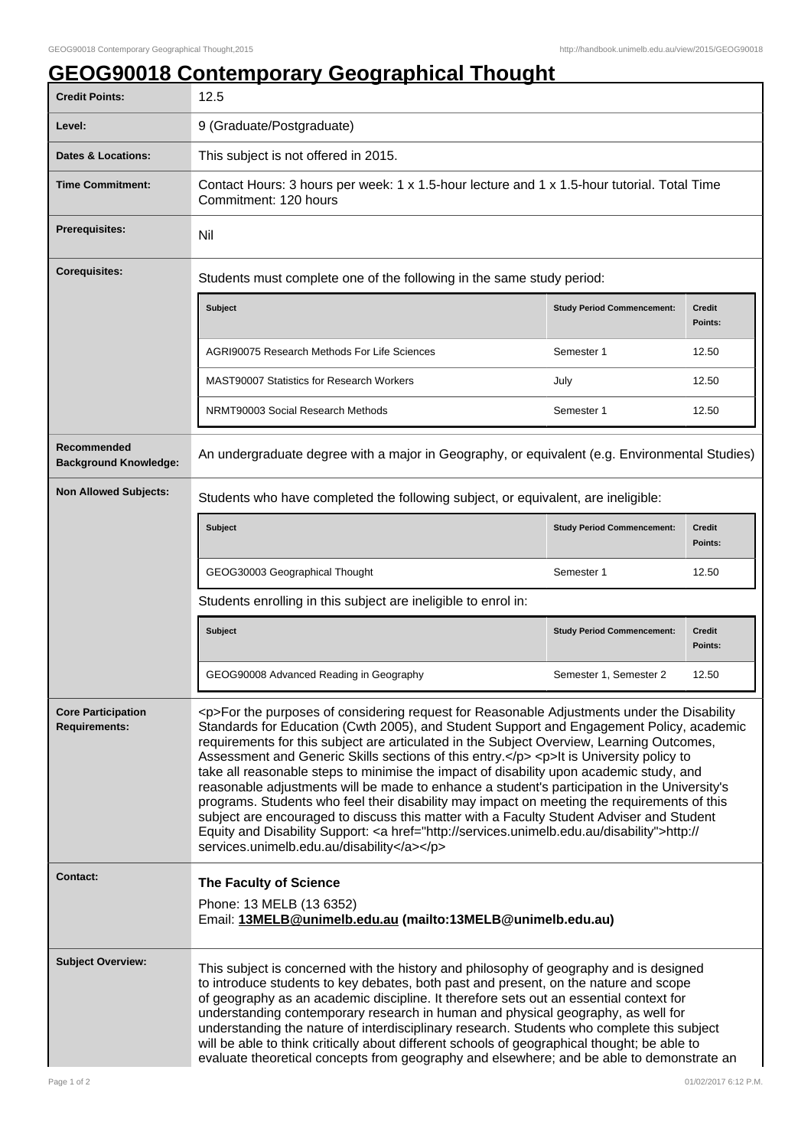| <b>GEOG90018 Contemporary Geographical Thought</b> |  |  |  |  |
|----------------------------------------------------|--|--|--|--|
|                                                    |  |  |  |  |

| <b>Credit Points:</b>                             | 12.5                                                                                                                                                                                                                                                                                                                                                                                                                                                                                                                                                                                                                                                                                                                                                                                                                                                                                                                         |                                   |                          |  |  |  |
|---------------------------------------------------|------------------------------------------------------------------------------------------------------------------------------------------------------------------------------------------------------------------------------------------------------------------------------------------------------------------------------------------------------------------------------------------------------------------------------------------------------------------------------------------------------------------------------------------------------------------------------------------------------------------------------------------------------------------------------------------------------------------------------------------------------------------------------------------------------------------------------------------------------------------------------------------------------------------------------|-----------------------------------|--------------------------|--|--|--|
| Level:                                            | 9 (Graduate/Postgraduate)                                                                                                                                                                                                                                                                                                                                                                                                                                                                                                                                                                                                                                                                                                                                                                                                                                                                                                    |                                   |                          |  |  |  |
| <b>Dates &amp; Locations:</b>                     | This subject is not offered in 2015.                                                                                                                                                                                                                                                                                                                                                                                                                                                                                                                                                                                                                                                                                                                                                                                                                                                                                         |                                   |                          |  |  |  |
| <b>Time Commitment:</b>                           | Contact Hours: 3 hours per week: 1 x 1.5-hour lecture and 1 x 1.5-hour tutorial. Total Time<br>Commitment: 120 hours                                                                                                                                                                                                                                                                                                                                                                                                                                                                                                                                                                                                                                                                                                                                                                                                         |                                   |                          |  |  |  |
| Prerequisites:                                    | Nil                                                                                                                                                                                                                                                                                                                                                                                                                                                                                                                                                                                                                                                                                                                                                                                                                                                                                                                          |                                   |                          |  |  |  |
| <b>Corequisites:</b>                              | Students must complete one of the following in the same study period:                                                                                                                                                                                                                                                                                                                                                                                                                                                                                                                                                                                                                                                                                                                                                                                                                                                        |                                   |                          |  |  |  |
|                                                   | <b>Subject</b>                                                                                                                                                                                                                                                                                                                                                                                                                                                                                                                                                                                                                                                                                                                                                                                                                                                                                                               | <b>Study Period Commencement:</b> | <b>Credit</b><br>Points: |  |  |  |
|                                                   | <b>AGRI90075 Research Methods For Life Sciences</b>                                                                                                                                                                                                                                                                                                                                                                                                                                                                                                                                                                                                                                                                                                                                                                                                                                                                          | Semester 1                        | 12.50                    |  |  |  |
|                                                   | <b>MAST90007 Statistics for Research Workers</b>                                                                                                                                                                                                                                                                                                                                                                                                                                                                                                                                                                                                                                                                                                                                                                                                                                                                             | July                              | 12.50                    |  |  |  |
|                                                   | NRMT90003 Social Research Methods                                                                                                                                                                                                                                                                                                                                                                                                                                                                                                                                                                                                                                                                                                                                                                                                                                                                                            | Semester 1                        | 12.50                    |  |  |  |
| Recommended<br><b>Background Knowledge:</b>       | An undergraduate degree with a major in Geography, or equivalent (e.g. Environmental Studies)                                                                                                                                                                                                                                                                                                                                                                                                                                                                                                                                                                                                                                                                                                                                                                                                                                |                                   |                          |  |  |  |
| <b>Non Allowed Subjects:</b>                      | Students who have completed the following subject, or equivalent, are ineligible:                                                                                                                                                                                                                                                                                                                                                                                                                                                                                                                                                                                                                                                                                                                                                                                                                                            |                                   |                          |  |  |  |
|                                                   | <b>Subject</b>                                                                                                                                                                                                                                                                                                                                                                                                                                                                                                                                                                                                                                                                                                                                                                                                                                                                                                               | <b>Study Period Commencement:</b> | <b>Credit</b><br>Points: |  |  |  |
|                                                   | GEOG30003 Geographical Thought                                                                                                                                                                                                                                                                                                                                                                                                                                                                                                                                                                                                                                                                                                                                                                                                                                                                                               | Semester 1                        | 12.50                    |  |  |  |
|                                                   | Students enrolling in this subject are ineligible to enrol in:                                                                                                                                                                                                                                                                                                                                                                                                                                                                                                                                                                                                                                                                                                                                                                                                                                                               |                                   |                          |  |  |  |
|                                                   | <b>Subject</b>                                                                                                                                                                                                                                                                                                                                                                                                                                                                                                                                                                                                                                                                                                                                                                                                                                                                                                               | <b>Study Period Commencement:</b> | <b>Credit</b><br>Points: |  |  |  |
|                                                   | GEOG90008 Advanced Reading in Geography                                                                                                                                                                                                                                                                                                                                                                                                                                                                                                                                                                                                                                                                                                                                                                                                                                                                                      | Semester 1, Semester 2            | 12.50                    |  |  |  |
| <b>Core Participation</b><br><b>Requirements:</b> | <p>For the purposes of considering request for Reasonable Adjustments under the Disability<br/>Standards for Education (Cwth 2005), and Student Support and Engagement Policy, academic<br/>requirements for this subject are articulated in the Subject Overview, Learning Outcomes,<br/>Assessment and Generic Skills sections of this entry.</p> <p>lt is University policy to<br/>take all reasonable steps to minimise the impact of disability upon academic study, and<br/>reasonable adjustments will be made to enhance a student's participation in the University's<br/>programs. Students who feel their disability may impact on meeting the requirements of this<br/>subject are encouraged to discuss this matter with a Faculty Student Adviser and Student<br/>Equity and Disability Support: &lt; a href="http://services.unimelb.edu.au/disability"&gt;http://<br/>services.unimelb.edu.au/disability</p> |                                   |                          |  |  |  |
| <b>Contact:</b>                                   | The Faculty of Science<br>Phone: 13 MELB (13 6352)<br>Email: 13MELB@unimelb.edu.au (mailto:13MELB@unimelb.edu.au)                                                                                                                                                                                                                                                                                                                                                                                                                                                                                                                                                                                                                                                                                                                                                                                                            |                                   |                          |  |  |  |
| <b>Subject Overview:</b>                          | This subject is concerned with the history and philosophy of geography and is designed<br>to introduce students to key debates, both past and present, on the nature and scope<br>of geography as an academic discipline. It therefore sets out an essential context for<br>understanding contemporary research in human and physical geography, as well for<br>understanding the nature of interdisciplinary research. Students who complete this subject<br>will be able to think critically about different schools of geographical thought; be able to<br>evaluate theoretical concepts from geography and elsewhere; and be able to demonstrate an                                                                                                                                                                                                                                                                      |                                   |                          |  |  |  |